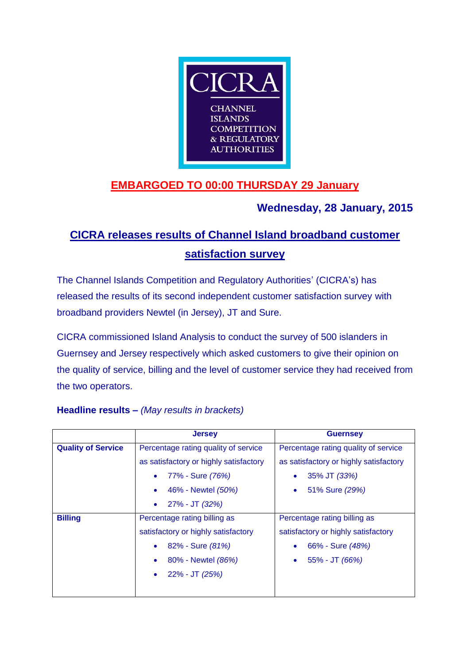

## **EMBARGOED TO 00:00 THURSDAY 29 January**

## **Wednesday, 28 January, 2015**

# **CICRA releases results of Channel Island broadband customer satisfaction survey**

The Channel Islands Competition and Regulatory Authorities' (CICRA's) has released the results of its second independent customer satisfaction survey with broadband providers Newtel (in Jersey), JT and Sure.

CICRA commissioned Island Analysis to conduct the survey of 500 islanders in Guernsey and Jersey respectively which asked customers to give their opinion on the quality of service, billing and the level of customer service they had received from the two operators.

|                           | <b>Jersey</b>                          | <b>Guernsey</b>                        |
|---------------------------|----------------------------------------|----------------------------------------|
| <b>Quality of Service</b> | Percentage rating quality of service   | Percentage rating quality of service   |
|                           | as satisfactory or highly satisfactory | as satisfactory or highly satisfactory |
|                           | 77% - Sure <i>(76%)</i><br>$\bullet$   | 35% JT (33%)<br>۰                      |
|                           | 46% - Newtel (50%)<br>$\bullet$        | 51% Sure (29%)<br>$\bullet$            |
|                           | 27% - JT (32%)<br>$\bullet$            |                                        |
| <b>Billing</b>            | Percentage rating billing as           | Percentage rating billing as           |
|                           | satisfactory or highly satisfactory    | satisfactory or highly satisfactory    |
|                           | 82% - Sure (81%)<br>$\bullet$          | 66% - Sure (48%)                       |
|                           | 80% - Newtel (86%)<br>۰                | 55% - JT (66%)<br>٠                    |
|                           | 22% - JT <i>(</i> 25%)                 |                                        |
|                           |                                        |                                        |

## **Headline results –** *(May results in brackets)*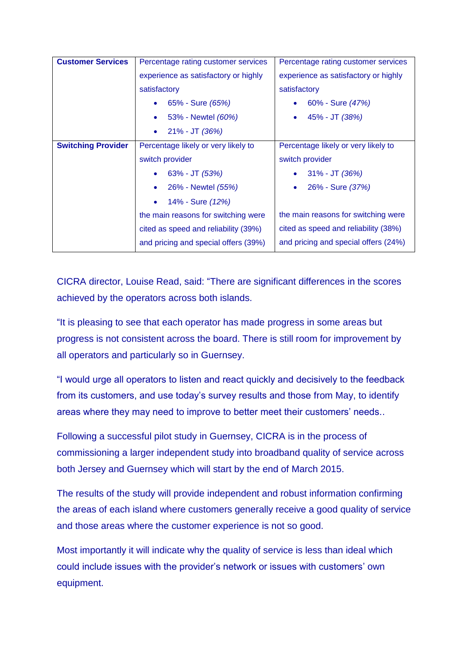| <b>Customer Services</b>  | Percentage rating customer services  | Percentage rating customer services  |
|---------------------------|--------------------------------------|--------------------------------------|
|                           | experience as satisfactory or highly | experience as satisfactory or highly |
|                           | satisfactory                         | satisfactory                         |
|                           | 65% - Sure (65%)<br>$\bullet$        | 60% - Sure (47%)                     |
|                           | 53% - Newtel (60%)                   | 45% - JT (38%)                       |
|                           | $21\% - JT (36\%)$                   |                                      |
| <b>Switching Provider</b> | Percentage likely or very likely to  | Percentage likely or very likely to  |
|                           | switch provider                      | switch provider                      |
|                           | $63\% - JT (53\%)$                   | $31\% - JT$ (36%)                    |
|                           | 26% - Newtel (55%)                   | 26% - Sure (37%)                     |
|                           | 14% - Sure (12%)                     |                                      |
|                           | the main reasons for switching were  | the main reasons for switching were  |
|                           | cited as speed and reliability (39%) | cited as speed and reliability (38%) |
|                           | and pricing and special offers (39%) | and pricing and special offers (24%) |

CICRA director, Louise Read, said: "There are significant differences in the scores achieved by the operators across both islands.

"It is pleasing to see that each operator has made progress in some areas but progress is not consistent across the board. There is still room for improvement by all operators and particularly so in Guernsey.

"I would urge all operators to listen and react quickly and decisively to the feedback from its customers, and use today's survey results and those from May, to identify areas where they may need to improve to better meet their customers' needs..

Following a successful pilot study in Guernsey, CICRA is in the process of commissioning a larger independent study into broadband quality of service across both Jersey and Guernsey which will start by the end of March 2015.

The results of the study will provide independent and robust information confirming the areas of each island where customers generally receive a good quality of service and those areas where the customer experience is not so good.

Most importantly it will indicate why the quality of service is less than ideal which could include issues with the provider's network or issues with customers' own equipment.